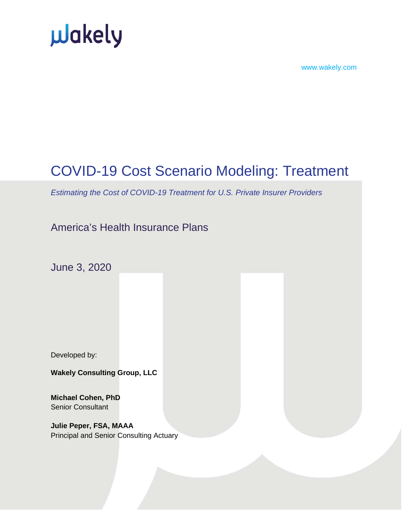



### COVID-19 Cost Scenario Modeling: Treatment

*Estimating the Cost of COVID-19 Treatment for U.S. Private Insurer Providers*

### America's Health Insurance Plans

June 3, 2020

Developed by:

**Wakely Consulting Group, LLC**

**Michael Cohen, PhD** Senior Consultant

**Julie Peper, FSA, MAAA** Principal and Senior Consulting Actuary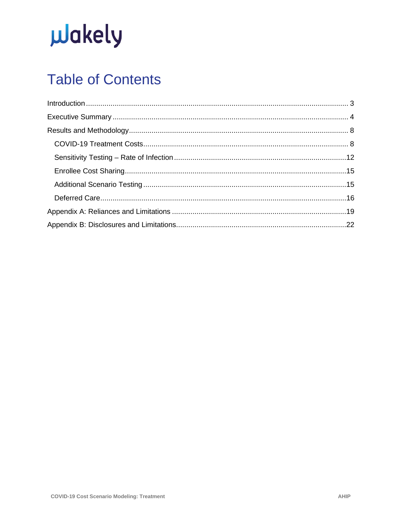# **u**Jakely

### **Table of Contents**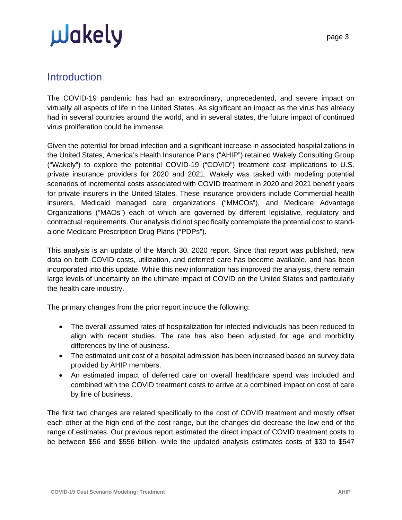### <span id="page-2-0"></span>**Introduction**

The COVID-19 pandemic has had an extraordinary, unprecedented, and severe impact on virtually all aspects of life in the United States. As significant an impact as the virus has already had in several countries around the world, and in several states, the future impact of continued virus proliferation could be immense.

Given the potential for broad infection and a significant increase in associated hospitalizations in the United States, America's Health Insurance Plans ("AHIP") retained Wakely Consulting Group ("Wakely") to explore the potential COVID-19 ("COVID") treatment cost implications to U.S. private insurance providers for 2020 and 2021. Wakely was tasked with modeling potential scenarios of incremental costs associated with COVID treatment in 2020 and 2021 benefit years for private insurers in the United States. These insurance providers include Commercial health insurers, Medicaid managed care organizations ("MMCOs"), and Medicare Advantage Organizations ("MAOs") each of which are governed by different legislative, regulatory and contractual requirements. Our analysis did not specifically contemplate the potential cost to standalone Medicare Prescription Drug Plans ("PDPs").

This analysis is an update of the March 30, 2020 report. Since that report was published, new data on both COVID costs, utilization, and deferred care has become available, and has been incorporated into this update. While this new information has improved the analysis, there remain large levels of uncertainty on the ultimate impact of COVID on the United States and particularly the health care industry.

The primary changes from the prior report include the following:

- The overall assumed rates of hospitalization for infected individuals has been reduced to align with recent studies. The rate has also been adjusted for age and morbidity differences by line of business.
- The estimated unit cost of a hospital admission has been increased based on survey data provided by AHIP members.
- An estimated impact of deferred care on overall healthcare spend was included and combined with the COVID treatment costs to arrive at a combined impact on cost of care by line of business.

The first two changes are related specifically to the cost of COVID treatment and mostly offset each other at the high end of the cost range, but the changes did decrease the low end of the range of estimates. Our previous report estimated the direct impact of COVID treatment costs to be between \$56 and \$556 billion, while the updated analysis estimates costs of \$30 to \$547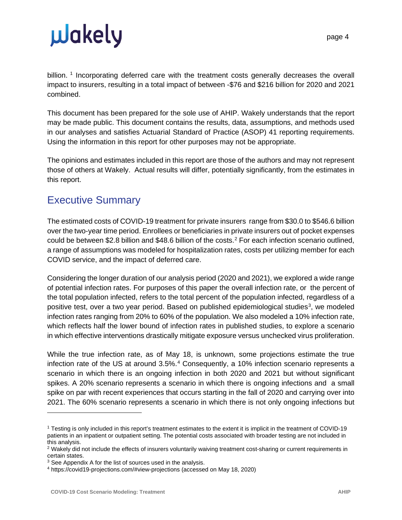billion. <sup>[1](#page-3-1)</sup> Incorporating deferred care with the treatment costs generally decreases the overall impact to insurers, resulting in a total impact of between -\$76 and \$216 billion for 2020 and 2021 combined.

This document has been prepared for the sole use of AHIP. Wakely understands that the report may be made public. This document contains the results, data, assumptions, and methods used in our analyses and satisfies Actuarial Standard of Practice (ASOP) 41 reporting requirements. Using the information in this report for other purposes may not be appropriate.

The opinions and estimates included in this report are those of the authors and may not represent those of others at Wakely. Actual results will differ, potentially significantly, from the estimates in this report.

### <span id="page-3-0"></span>Executive Summary

The estimated costs of COVID-19 treatment for private insurers range from \$30.0 to \$546.6 billion over the two-year time period. Enrollees or beneficiaries in private insurers out of pocket expenses could be between \$2.8 billion and \$48.6 billion of the costs. [2](#page-3-2) For each infection scenario outlined, a range of assumptions was modeled for hospitalization rates, costs per utilizing member for each COVID service, and the impact of deferred care.

Considering the longer duration of our analysis period (2020 and 2021), we explored a wide range of potential infection rates. For purposes of this paper the overall infection rate, or the percent of the total population infected, refers to the total percent of the population infected, regardless of a positive test, over a two year period. Based on published epidemiological studies<sup>[3](#page-3-3)</sup>, we modeled infection rates ranging from 20% to 60% of the population. We also modeled a 10% infection rate, which reflects half the lower bound of infection rates in published studies, to explore a scenario in which effective interventions drastically mitigate exposure versus unchecked virus proliferation.

While the true infection rate, as of May 18, is unknown, some projections estimate the true infection rate of the US at around  $3.5\%$ .<sup>[4](#page-3-4)</sup> Consequently, a 10% infection scenario represents a scenario in which there is an ongoing infection in both 2020 and 2021 but without significant spikes. A 20% scenario represents a scenario in which there is ongoing infections and a small spike on par with recent experiences that occurs starting in the fall of 2020 and carrying over into 2021. The 60% scenario represents a scenario in which there is not only ongoing infections but

<span id="page-3-1"></span><sup>1</sup> Testing is only included in this report's treatment estimates to the extent it is implicit in the treatment of COVID-19 patients in an inpatient or outpatient setting. The potential costs associated with broader testing are not included in this analysis.

<span id="page-3-2"></span><sup>&</sup>lt;sup>2</sup> Wakely did not include the effects of insurers voluntarily waiving treatment cost-sharing or current requirements in certain states.

<span id="page-3-3"></span><sup>&</sup>lt;sup>3</sup> See Appendix A for the list of sources used in the analysis.

<span id="page-3-4"></span><sup>4</sup> https://covid19-projections.com/#view-projections (accessed on May 18, 2020)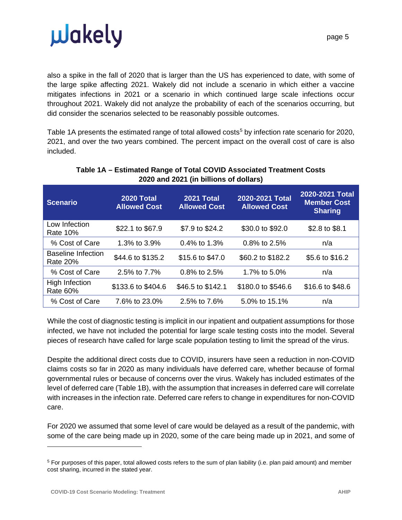

also a spike in the fall of 2020 that is larger than the US has experienced to date, with some of the large spike affecting 2021. Wakely did not include a scenario in which either a vaccine mitigates infections in 2021 or a scenario in which continued large scale infections occur throughout 2021. Wakely did not analyze the probability of each of the scenarios occurring, but did consider the scenarios selected to be reasonably possible outcomes.

Table 1A presents the estimated range of total allowed costs<sup>[5](#page-4-0)</sup> by infection rate scenario for 2020, 2021, and over the two years combined. The percent impact on the overall cost of care is also included.

| <b>Scenario</b>                       | <b>2020 Total</b><br><b>Allowed Cost</b> | <b>2021 Total</b><br><b>Allowed Cost</b> | 2020-2021 Total<br><b>Allowed Cost</b> | 2020-2021 Total<br><b>Member Cost</b><br><b>Sharing</b> |
|---------------------------------------|------------------------------------------|------------------------------------------|----------------------------------------|---------------------------------------------------------|
| Low Infection<br><b>Rate 10%</b>      | \$22.1 to \$67.9                         | \$7.9 to \$24.2                          | \$30.0 to \$92.0                       | \$2.8 to \$8.1                                          |
| % Cost of Care                        | 1.3% to 3.9%                             | $0.4\%$ to 1.3%                          | $0.8\%$ to 2.5%                        | n/a                                                     |
| <b>Baseline Infection</b><br>Rate 20% | \$44.6 to \$135.2                        | \$15.6 to \$47.0                         | \$60.2 to \$182.2                      | \$5.6 to \$16.2                                         |
| % Cost of Care                        | 2.5% to 7.7%                             | $0.8\%$ to 2.5%                          | 1.7% to 5.0%                           | n/a                                                     |
| High Infection<br><b>Rate 60%</b>     | \$133.6 to \$404.6                       | \$46.5 to \$142.1                        | \$180.0 to \$546.6                     | \$16.6 to \$48.6                                        |
| % Cost of Care                        | 7.6% to 23.0%                            | 2.5% to 7.6%                             | 5.0% to 15.1%                          | n/a                                                     |

#### **Table 1A – Estimated Range of Total COVID Associated Treatment Costs 2020 and 2021 (in billions of dollars)**

While the cost of diagnostic testing is implicit in our inpatient and outpatient assumptions for those infected, we have not included the potential for large scale testing costs into the model. Several pieces of research have called for large scale population testing to limit the spread of the virus.

Despite the additional direct costs due to COVID, insurers have seen a reduction in non-COVID claims costs so far in 2020 as many individuals have deferred care, whether because of formal governmental rules or because of concerns over the virus. Wakely has included estimates of the level of deferred care (Table 1B), with the assumption that increases in deferred care will correlate with increases in the infection rate. Deferred care refers to change in expenditures for non-COVID care.

For 2020 we assumed that some level of care would be delayed as a result of the pandemic, with some of the care being made up in 2020, some of the care being made up in 2021, and some of

<span id="page-4-0"></span><sup>&</sup>lt;sup>5</sup> For purposes of this paper, total allowed costs refers to the sum of plan liability (i.e. plan paid amount) and member cost sharing, incurred in the stated year.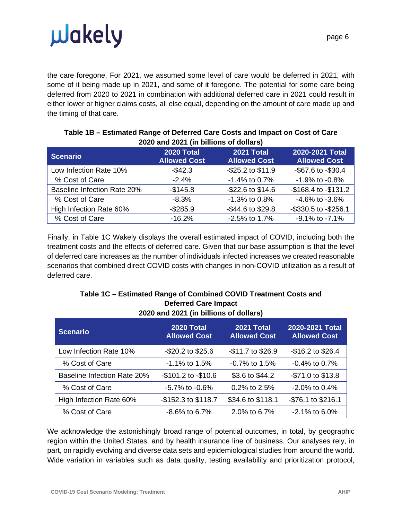the care foregone. For 2021, we assumed some level of care would be deferred in 2021, with some of it being made up in 2021, and some of it foregone. The potential for some care being deferred from 2020 to 2021 in combination with additional deferred care in 2021 could result in either lower or higher claims costs, all else equal, depending on the amount of care made up and the timing of that care.

| <b>Scenario</b>                    | 2020 Total<br><b>Allowed Cost</b> | 2021 Total<br><b>Allowed Cost</b> | 2020-2021 Total<br><b>Allowed Cost</b> |
|------------------------------------|-----------------------------------|-----------------------------------|----------------------------------------|
| Low Infection Rate 10%             | $-$42.3$                          | $-$ \$25.2 to \$11.9              | -\$67.6 to -\$30.4                     |
| % Cost of Care                     | $-2.4%$                           | $-1.4\%$ to 0.7%                  | $-1.9\%$ to $-0.8\%$                   |
| <b>Baseline Infection Rate 20%</b> | $-$145.8$                         | $-$ \$22.6 to \$14.6              | -\$168.4 to -\$131.2                   |
| % Cost of Care                     | $-8.3%$                           | -1.3% to 0.8%                     | $-4.6\%$ to $-3.6\%$                   |
| High Infection Rate 60%            | $-$ \$285.9                       | -\$44.6 to \$29.8                 | -\$330.5 to -\$256.1                   |
| % Cost of Care                     | $-16.2%$                          | -2.5% to 1.7%                     | -9.1% to -7.1%                         |

#### **Table 1B – Estimated Range of Deferred Care Costs and Impact on Cost of Care 2020 and 2021 (in billions of dollars)**

Finally, in Table 1C Wakely displays the overall estimated impact of COVID, including both the treatment costs and the effects of deferred care. Given that our base assumption is that the level of deferred care increases as the number of individuals infected increases we created reasonable scenarios that combined direct COVID costs with changes in non-COVID utilization as a result of deferred care.

| <b>EULD ID THE EVALUATE OF AUTHOR</b> |                                          |                                          |                                        |  |  |
|---------------------------------------|------------------------------------------|------------------------------------------|----------------------------------------|--|--|
| <b>Scenario</b>                       | <b>2020 Total</b><br><b>Allowed Cost</b> | <b>2021 Total</b><br><b>Allowed Cost</b> | 2020-2021 Total<br><b>Allowed Cost</b> |  |  |
| Low Infection Rate 10%                | $-$ \$20.2 to \$25.6                     | -\$11.7 to \$26.9                        | $-$16.2$ to \$26.4                     |  |  |
| % Cost of Care                        | $-1.1\%$ to 1.5%                         | $-0.7\%$ to 1.5%                         | $-0.4\%$ to 0.7%                       |  |  |
| <b>Baseline Infection Rate 20%</b>    | $-$101.2$ to $-$10.6$                    | \$3.6 to \$44.2                          | $-$ \$71.0 to \$13.8                   |  |  |
| % Cost of Care                        | $-5.7\%$ to $-0.6\%$                     | $0.2\%$ to 2.5%                          | $-2.0\%$ to 0.4%                       |  |  |
| High Infection Rate 60%               | -\$152.3 to \$118.7                      | \$34.6 to \$118.1                        | -\$76.1 to \$216.1                     |  |  |
| % Cost of Care                        | $-8.6\%$ to 6.7%                         | 2.0% to 6.7%                             | $-2.1\%$ to 6.0%                       |  |  |

#### **Table 1C – Estimated Range of Combined COVID Treatment Costs and Deferred Care Impact 2020 and 2021 (in billions of dollars)**

We acknowledge the astonishingly broad range of potential outcomes, in total, by geographic region within the United States, and by health insurance line of business. Our analyses rely, in part, on rapidly evolving and diverse data sets and epidemiological studies from around the world. Wide variation in variables such as data quality, testing availability and prioritization protocol,

page 6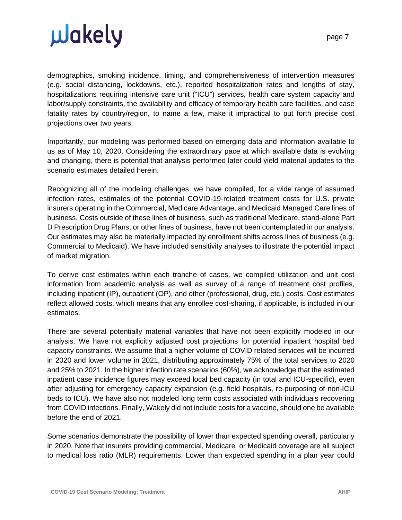demographics, smoking incidence, timing, and comprehensiveness of intervention measures (e.g. social distancing, lockdowns, etc.), reported hospitalization rates and lengths of stay, hospitalizations requiring intensive care unit ("ICU") services, health care system capacity and labor/supply constraints, the availability and efficacy of temporary health care facilities, and case fatality rates by country/region, to name a few, make it impractical to put forth precise cost projections over two years.

Importantly, our modeling was performed based on emerging data and information available to us as of May 10, 2020. Considering the extraordinary pace at which available data is evolving and changing, there is potential that analysis performed later could yield material updates to the scenario estimates detailed herein.

Recognizing all of the modeling challenges, we have compiled, for a wide range of assumed infection rates, estimates of the potential COVID-19-related treatment costs for U.S. private insurers operating in the Commercial, Medicare Advantage, and Medicaid Managed Care lines of business. Costs outside of these lines of business, such as traditional Medicare, stand-alone Part D Prescription Drug Plans, or other lines of business, have not been contemplated in our analysis. Our estimates may also be materially impacted by enrollment shifts across lines of business (e.g. Commercial to Medicaid). We have included sensitivity analyses to illustrate the potential impact of market migration.

To derive cost estimates within each tranche of cases, we compiled utilization and unit cost information from academic analysis as well as survey of a range of treatment cost profiles, including inpatient (IP), outpatient (OP), and other (professional, drug, etc.) costs. Cost estimates reflect allowed costs, which means that any enrollee cost-sharing, if applicable, is included in our estimates.

There are several potentially material variables that have not been explicitly modeled in our analysis. We have not explicitly adjusted cost projections for potential inpatient hospital bed capacity constraints. We assume that a higher volume of COVID related services will be incurred in 2020 and lower volume in 2021, distributing approximately 75% of the total services to 2020 and 25% to 2021. In the higher infection rate scenarios (60%), we acknowledge that the estimated inpatient case incidence figures may exceed local bed capacity (in total and ICU-specific), even after adjusting for emergency capacity expansion (e.g. field hospitals, re-purposing of non-ICU beds to ICU). We have also not modeled long term costs associated with individuals recovering from COVID infections. Finally, Wakely did not include costs for a vaccine, should one be available before the end of 2021.

Some scenarios demonstrate the possibility of lower than expected spending overall, particularly in 2020. Note that insurers providing commercial, Medicare or Medicaid coverage are all subject to medical loss ratio (MLR) requirements. Lower than expected spending in a plan year could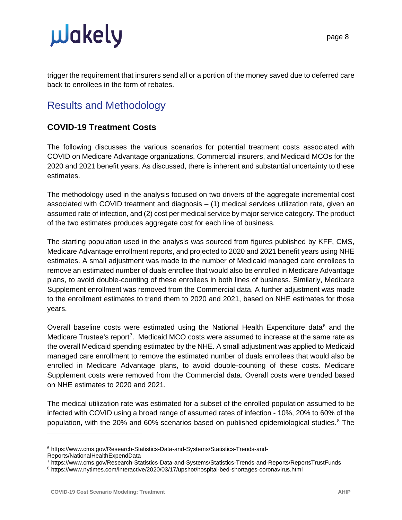trigger the requirement that insurers send all or a portion of the money saved due to deferred care back to enrollees in the form of rebates.

### <span id="page-7-0"></span>Results and Methodology

#### <span id="page-7-1"></span>**COVID-19 Treatment Costs**

The following discusses the various scenarios for potential treatment costs associated with COVID on Medicare Advantage organizations, Commercial insurers, and Medicaid MCOs for the 2020 and 2021 benefit years. As discussed, there is inherent and substantial uncertainty to these estimates.

The methodology used in the analysis focused on two drivers of the aggregate incremental cost associated with COVID treatment and diagnosis – (1) medical services utilization rate, given an assumed rate of infection, and (2) cost per medical service by major service category. The product of the two estimates produces aggregate cost for each line of business.

The starting population used in the analysis was sourced from figures published by KFF, CMS, Medicare Advantage enrollment reports, and projected to 2020 and 2021 benefit years using NHE estimates. A small adjustment was made to the number of Medicaid managed care enrollees to remove an estimated number of duals enrollee that would also be enrolled in Medicare Advantage plans, to avoid double-counting of these enrollees in both lines of business. Similarly, Medicare Supplement enrollment was removed from the Commercial data. A further adjustment was made to the enrollment estimates to trend them to 2020 and 2021, based on NHE estimates for those years.

Overall baseline costs were estimated using the National Health Expenditure data $6$  and the Medicare Trustee's report<sup>[7](#page-7-3)</sup>. Medicaid MCO costs were assumed to increase at the same rate as the overall Medicaid spending estimated by the NHE. A small adjustment was applied to Medicaid managed care enrollment to remove the estimated number of duals enrollees that would also be enrolled in Medicare Advantage plans, to avoid double-counting of these costs. Medicare Supplement costs were removed from the Commercial data. Overall costs were trended based on NHE estimates to 2020 and 2021.

The medical utilization rate was estimated for a subset of the enrolled population assumed to be infected with COVID using a broad range of assumed rates of infection - 10%, 20% to 60% of the population, with the 20% and 60% scenarios based on published epidemiological studies. [8](#page-7-4) The

<span id="page-7-2"></span><sup>6</sup> https://www.cms.gov/Research-Statistics-Data-and-Systems/Statistics-Trends-and-Reports/NationalHealthExpendData

<span id="page-7-3"></span><sup>7</sup> https://www.cms.gov/Research-Statistics-Data-and-Systems/Statistics-Trends-and-Reports/ReportsTrustFunds

<span id="page-7-4"></span><sup>8</sup> https://www.nytimes.com/interactive/2020/03/17/upshot/hospital-bed-shortages-coronavirus.html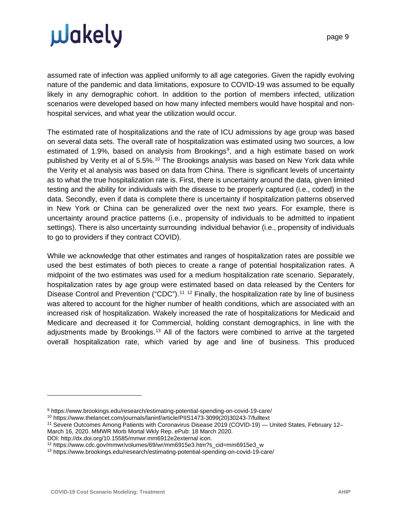page 9

assumed rate of infection was applied uniformly to all age categories. Given the rapidly evolving nature of the pandemic and data limitations, exposure to COVID-19 was assumed to be equally likely in any demographic cohort. In addition to the portion of members infected, utilization scenarios were developed based on how many infected members would have hospital and nonhospital services, and what year the utilization would occur.

The estimated rate of hospitalizations and the rate of ICU admissions by age group was based on several data sets. The overall rate of hospitalization was estimated using two sources, a low estimated of 1.[9](#page-8-0)%, based on analysis from Brookings<sup>9</sup>, and a high estimate based on work published by Verity et al of 5.5%.<sup>[10](#page-8-1)</sup> The Brookings analysis was based on New York data while the Verity et al analysis was based on data from China. There is significant levels of uncertainty as to what the true hospitalization rate is. First, there is uncertainty around the data, given limited testing and the ability for individuals with the disease to be properly captured (i.e., coded) in the data. Secondly, even if data is complete there is uncertainty if hospitalization patterns observed in New York or China can be generalized over the next two years. For example, there is uncertainty around practice patterns (i.e., propensity of individuals to be admitted to inpatient settings). There is also uncertainty surrounding individual behavior (i.e., propensity of individuals to go to providers if they contract COVID).

While we acknowledge that other estimates and ranges of hospitalization rates are possible we used the best estimates of both pieces to create a range of potential hospitalization rates. A midpoint of the two estimates was used for a medium hospitalization rate scenario. Separately, hospitalization rates by age group were estimated based on data released by the Centers for Disease Control and Prevention ("CDC").<sup>[11](#page-8-2) [12](#page-8-3)</sup> Finally, the hospitalization rate by line of business was altered to account for the higher number of health conditions, which are associated with an increased risk of hospitalization. Wakely increased the rate of hospitalizations for Medicaid and Medicare and decreased it for Commercial, holding constant demographics, in line with the adjustments made by Brookings.<sup>[13](#page-8-4)</sup> All of the factors were combined to arrive at the targeted overall hospitalization rate, which varied by age and line of business. This produced

<span id="page-8-1"></span><sup>10</sup> https://www.thelancet.com/journals/laninf/article/PIIS1473-3099(20)30243-7/fulltext

<span id="page-8-0"></span><sup>9</sup> https://www.brookings.edu/research/estimating-potential-spending-on-covid-19-care/

<span id="page-8-2"></span><sup>11</sup> Severe Outcomes Among Patients with Coronavirus Disease 2019 (COVID-19) — United States, February 12– March 16, 2020. MMWR Morb Mortal Wkly Rep. ePub: 18 March 2020.

DOI: http://dx.doi.org/10.15585/mmwr.mm6912e2external icon.

<span id="page-8-3"></span><sup>12</sup> https://www.cdc.gov/mmwr/volumes/69/wr/mm6915e3.htm?s\_cid=mm6915e3\_w

<span id="page-8-4"></span><sup>13</sup> https://www.brookings.edu/research/estimating-potential-spending-on-covid-19-care/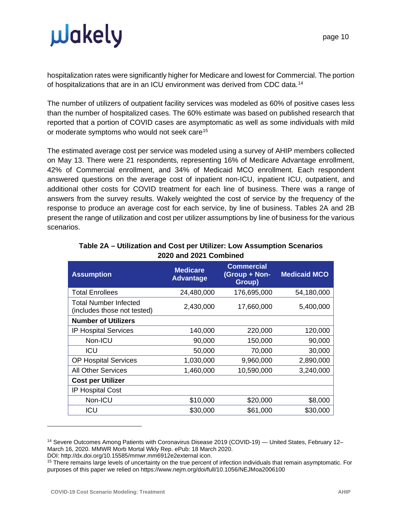hospitalization rates were significantly higher for Medicare and lowest for Commercial. The portion of hospitalizations that are in an ICU environment was derived from CDC data.[14](#page-9-0)

The number of utilizers of outpatient facility services was modeled as 60% of positive cases less than the number of hospitalized cases. The 60% estimate was based on published research that reported that a portion of COVID cases are asymptomatic as well as some individuals with mild or moderate symptoms who would not seek care<sup>[15](#page-9-1)</sup>

The estimated average cost per service was modeled using a survey of AHIP members collected on May 13. There were 21 respondents, representing 16% of Medicare Advantage enrollment, 42% of Commercial enrollment, and 34% of Medicaid MCO enrollment. Each respondent answered questions on the average cost of inpatient non-ICU, inpatient ICU, outpatient, and additional other costs for COVID treatment for each line of business. There was a range of answers from the survey results. Wakely weighted the cost of service by the frequency of the response to produce an average cost for each service, by line of business. Tables 2A and 2B present the range of utilization and cost per utilizer assumptions by line of business for the various scenarios.

| <b>Medicare</b><br><b>Advantage</b> | <b>Commercial</b><br>(Group + Non-<br>Group) | <b>Medicaid MCO</b> |
|-------------------------------------|----------------------------------------------|---------------------|
| 24,480,000                          | 176,695,000                                  | 54,180,000          |
| 2,430,000                           | 17,660,000                                   | 5,400,000           |
|                                     |                                              |                     |
| 140,000                             | 220,000                                      | 120,000             |
| 90,000                              | 150,000                                      | 90,000              |
| 50,000                              | 70,000                                       | 30,000              |
| 1,030,000                           | 9,960,000                                    | 2,890,000           |
| 1,460,000                           | 10,590,000                                   | 3,240,000           |
|                                     |                                              |                     |
|                                     |                                              |                     |
| \$10,000                            | \$20,000                                     | \$8,000             |
| \$30,000                            | \$61,000                                     | \$30,000            |
|                                     |                                              |                     |

#### **Table 2A – Utilization and Cost per Utilizer: Low Assumption Scenarios 2020 and 2021 Combined**

DOI: http://dx.doi.org/10.15585/mmwr.mm6912e2external icon.

<span id="page-9-0"></span><sup>14</sup> Severe Outcomes Among Patients with Coronavirus Disease 2019 (COVID-19) — United States, February 12– March 16, 2020. MMWR Morb Mortal Wkly Rep. ePub: 18 March 2020.

<span id="page-9-1"></span><sup>&</sup>lt;sup>15</sup> There remains large levels of uncertainty on the true percent of infection individuals that remain asymptomatic. For purposes of this paper we relied on https://www.nejm.org/doi/full/10.1056/NEJMoa2006100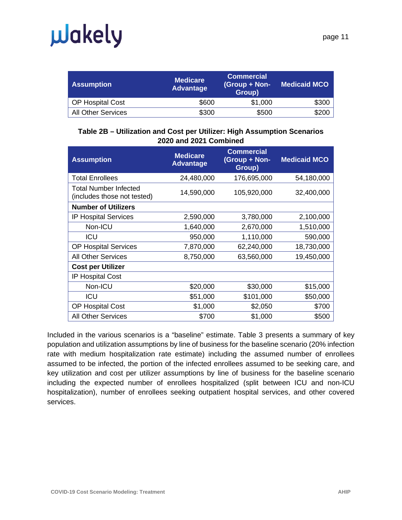# **u**dkely

| <b>Assumption</b>         | <b>Medicare</b><br><b>Advantage</b> | <b>Commercial</b><br>(Group + Non-<br>Group) | <b>Medicaid MCO</b> |
|---------------------------|-------------------------------------|----------------------------------------------|---------------------|
| <b>OP Hospital Cost</b>   | \$600                               | \$1,000                                      | \$300               |
| <b>All Other Services</b> | \$300                               | \$500                                        | \$200               |

#### **Table 2B – Utilization and Cost per Utilizer: High Assumption Scenarios 2020 and 2021 Combined**

| <b>Assumption</b>                                    | <b>Medicare</b><br><b>Advantage</b> | <b>Commercial</b><br>(Group + Non-<br>Group) | <b>Medicaid MCO</b> |
|------------------------------------------------------|-------------------------------------|----------------------------------------------|---------------------|
| <b>Total Enrollees</b>                               | 24,480,000                          | 176,695,000                                  | 54,180,000          |
| Total Number Infected<br>(includes those not tested) | 14,590,000                          | 105,920,000                                  | 32,400,000          |
| <b>Number of Utilizers</b>                           |                                     |                                              |                     |
| <b>IP Hospital Services</b>                          | 2,590,000                           | 3,780,000                                    | 2,100,000           |
| Non-ICU                                              | 1,640,000                           | 2,670,000                                    | 1,510,000           |
| ICU                                                  | 950,000                             | 1,110,000                                    | 590,000             |
| <b>OP Hospital Services</b>                          | 7,870,000                           | 62,240,000                                   | 18,730,000          |
| <b>All Other Services</b>                            | 8,750,000                           | 63,560,000                                   | 19,450,000          |
| <b>Cost per Utilizer</b>                             |                                     |                                              |                     |
| <b>IP Hospital Cost</b>                              |                                     |                                              |                     |
| Non-ICU                                              | \$20,000                            | \$30,000                                     | \$15,000            |
| ICU                                                  | \$51,000                            | \$101,000                                    | \$50,000            |
| OP Hospital Cost                                     | \$1,000                             | \$2,050                                      | \$700               |
| <b>All Other Services</b>                            | \$700                               | \$1,000                                      | \$500               |

Included in the various scenarios is a "baseline" estimate. Table 3 presents a summary of key population and utilization assumptions by line of business for the baseline scenario (20% infection rate with medium hospitalization rate estimate) including the assumed number of enrollees assumed to be infected, the portion of the infected enrollees assumed to be seeking care, and key utilization and cost per utilizer assumptions by line of business for the baseline scenario including the expected number of enrollees hospitalized (split between ICU and non-ICU hospitalization), number of enrollees seeking outpatient hospital services, and other covered services.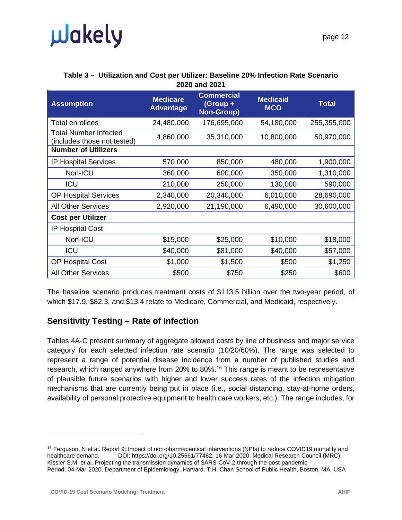| page |
|------|
|------|

| <b>Assumption</b>                                           | <b>Medicare</b><br><b>Advantage</b> | <b>Commercial</b><br>(Group +<br><b>Non-Group)</b> | <b>Medicaid</b><br><b>MCO</b> | <b>Total</b> |
|-------------------------------------------------------------|-------------------------------------|----------------------------------------------------|-------------------------------|--------------|
| <b>Total enrollees</b>                                      | 24,480,000                          | 176,695,000                                        | 54,180,000                    | 255,355,000  |
| <b>Total Number Infected</b><br>(includes those not tested) | 4,860,000                           | 35,310,000                                         | 10,800,000                    | 50,970,000   |
| <b>Number of Utilizers</b>                                  |                                     |                                                    |                               |              |
| <b>IP Hospital Services</b>                                 | 570,000                             | 850,000                                            | 480,000                       | 1,900,000    |
| Non-ICU                                                     | 360,000                             | 600,000                                            | 350,000                       | 1,310,000    |
| <b>ICU</b>                                                  | 210,000                             | 250,000                                            | 130,000                       | 590,000      |
| <b>OP Hospital Services</b>                                 | 2,340,000                           | 20,340,000                                         | 6,010,000                     | 28,690,000   |
| <b>All Other Services</b>                                   | 2,920,000                           | 21,190,000                                         | 6,490,000                     | 30,600,000   |
| <b>Cost per Utilizer</b>                                    |                                     |                                                    |                               |              |
| <b>IP Hospital Cost</b>                                     |                                     |                                                    |                               |              |
| Non-ICU                                                     | \$15,000                            | \$25,000                                           | \$10,000                      | \$18,000     |
| <b>ICU</b>                                                  | \$40,000                            | \$81,000                                           | \$40,000                      | \$57,000     |
| <b>OP Hospital Cost</b>                                     | \$1,000                             | \$1,500                                            | \$500                         | \$1,250      |
| <b>All Other Services</b>                                   | \$500                               | \$750                                              | \$250                         | \$600        |

#### **Table 3 – Utilization and Cost per Utilizer: Baseline 20% Infection Rate Scenario 2020 and 2021**

The baseline scenario produces treatment costs of \$113.5 billion over the two-year period, of which \$17.9, \$82.3, and \$13.4 relate to Medicare, Commercial, and Medicaid, respectively.

#### <span id="page-11-0"></span>**Sensitivity Testing – Rate of Infection**

Tables 4A-C present summary of aggregate allowed costs by line of business and major service category for each selected infection rate scenario (10/20/60%). The range was selected to represent a range of potential disease incidence from a number of published studies and research, which ranged anywhere from 20% to 80%.<sup>[16](#page-11-1)</sup> This range is meant to be representative of plausible future scenarios with higher and lower success rates of the infection mitigation mechanisms that are currently being put in place (i.e., social distancing, stay-at-home orders, availability of personal protective equipment to health care workers, etc.). The range includes, for

<span id="page-11-1"></span><sup>&</sup>lt;sup>16</sup> Ferguson, N et al. Report 9: Impact of non-pharmaceutical interventions (NPIs) to reduce COVID19 mortality and healthcare demand. DOI: https://doi.org/10.25561/77482. 16-Mar-2020. Medical Research Council (MRC). Kissler S.M. et al. Projecting the transmission dynamics of SARS-CoV-2 through the post-pandemic Period. 04-Mar-2020. Department of Epidemiology, Harvard. T.H. Chan School of Public Health, Boston, MA, USA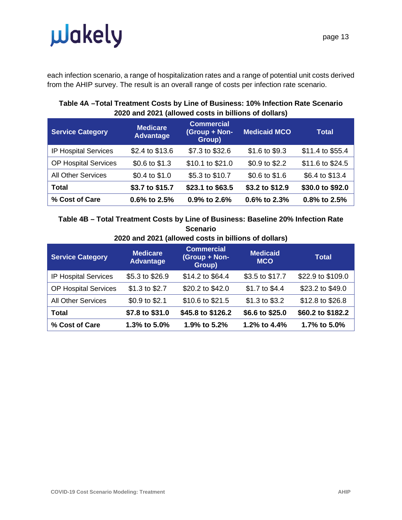# **Juakely**

each infection scenario, a range of hospitalization rates and a range of potential unit costs derived from the AHIP survey. The result is an overall range of costs per infection rate scenario.

#### **Service Category Medicare Advantage Commercial (Group + Non-Group) Medicaid MCO Total** IP Hospital Services \$2.4 to \$13.6 \$7.3 to \$32.6 \$1.6 to \$9.3 \$11.4 to \$55.4 OP Hospital Services  $$0.6$  to \$1.3 \$10.1 to \$21.0 \$0.9 to \$2.2 \$11.6 to \$24.5 All Other Services  $$0.4$  to \$1.0  $$5.3$  to \$10.7  $$0.6$  to \$1.6  $$6.4$  to \$13.4 **Total \$3.7 to \$15.7 \$23.1 to \$63.5 \$3.2 to \$12.9 \$30.0 to \$92.0 % Cost of Care 0.6% to 2.5% 0.9% to 2.6% 0.6% to 2.3% 0.8% to 2.5%**

#### **Table 4A –Total Treatment Costs by Line of Business: 10% Infection Rate Scenario 2020 and 2021 (allowed costs in billions of dollars)**

**Table 4B – Total Treatment Costs by Line of Business: Baseline 20% Infection Rate Scenario**

| 2020 and 2021 (allowed costs in billions of dollars) |  |  |  |  |  |
|------------------------------------------------------|--|--|--|--|--|
|------------------------------------------------------|--|--|--|--|--|

| <b>Service Category</b>     | <b>Medicare</b><br><b>Advantage</b> | <b>Commercial</b><br>(Group + Non-<br>Group) | <b>Medicaid</b><br><b>MCO</b> | <b>Total</b>      |
|-----------------------------|-------------------------------------|----------------------------------------------|-------------------------------|-------------------|
| IP Hospital Services        | \$5.3 to \$26.9                     | \$14.2 to \$64.4                             | \$3.5 to \$17.7               | \$22.9 to \$109.0 |
| <b>OP Hospital Services</b> | \$1.3 to \$2.7                      | \$20.2 to \$42.0                             | \$1.7 to \$4.4                | \$23.2 to \$49.0  |
| <b>All Other Services</b>   | \$0.9 to \$2.1                      | \$10.6 to \$21.5                             | \$1.3 to \$3.2                | \$12.8 to \$26.8  |
| <b>Total</b>                | \$7.8 to \$31.0                     | \$45.8 to \$126.2                            | \$6.6 to \$25.0               | \$60.2 to \$182.2 |
| % Cost of Care              | 1.3% to 5.0%                        | 1.9% to 5.2%                                 | 1.2% to $4.4%$                | 1.7% to 5.0%      |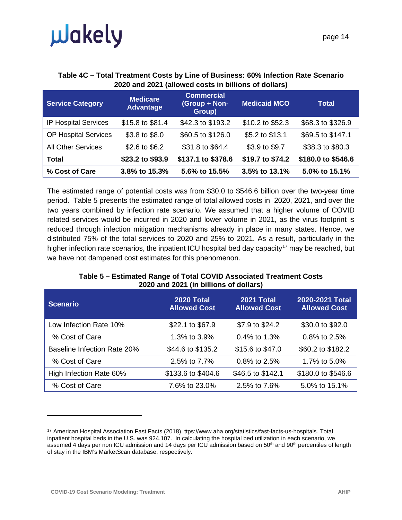#### **Table 4C – Total Treatment Costs by Line of Business: 60% Infection Rate Scenario 2020 and 2021 (allowed costs in billions of dollars)**

| <b>Service Category</b>     | <b>Medicare</b><br><b>Advantage</b> | <b>Commercial</b><br>(Group + Non-<br>Group) | <b>Medicaid MCO</b> | <b>Total</b>       |
|-----------------------------|-------------------------------------|----------------------------------------------|---------------------|--------------------|
| <b>IP Hospital Services</b> | \$15.8 to \$81.4                    | \$42.3 to \$193.2                            | \$10.2 to \$52.3    | \$68.3 to \$326.9  |
| <b>OP Hospital Services</b> | \$3.8 to \$8.0                      | \$60.5 to \$126.0                            | \$5.2 to \$13.1     | \$69.5 to \$147.1  |
| <b>All Other Services</b>   | \$2.6 to \$6.2                      | \$31.8 to \$64.4                             | \$3.9 to \$9.7      | \$38.3 to \$80.3   |
| Total                       | \$23.2 to \$93.9                    | \$137.1 to \$378.6                           | \$19.7 to \$74.2    | \$180.0 to \$546.6 |
| % Cost of Care              | 3.8% to 15.3%                       | 5.6% to 15.5%                                | 3.5% to 13.1%       | $5.0\%$ to 15.1%   |

The estimated range of potential costs was from \$30.0 to \$546.6 billion over the two-year time period. Table 5 presents the estimated range of total allowed costs in 2020, 2021, and over the two years combined by infection rate scenario. We assumed that a higher volume of COVID related services would be incurred in 2020 and lower volume in 2021, as the virus footprint is reduced through infection mitigation mechanisms already in place in many states. Hence, we distributed 75% of the total services to 2020 and 25% to 2021. As a result, particularly in the higher infection rate scenarios, the inpatient ICU hospital bed day capacity<sup>[17](#page-13-0)</sup> may be reached, but we have not dampened cost estimates for this phenomenon.

#### **Table 5 – Estimated Range of Total COVID Associated Treatment Costs 2020 and 2021 (in billions of dollars)**

| <b>Scenario</b>                    | <b>2020 Total</b><br><b>Allowed Cost</b> | <b>2021 Total</b><br><b>Allowed Cost</b> | 2020-2021 Total<br><b>Allowed Cost</b> |
|------------------------------------|------------------------------------------|------------------------------------------|----------------------------------------|
| Low Infection Rate 10%             | \$22.1 to \$67.9                         | \$7.9 to \$24.2                          | \$30.0 to \$92.0                       |
| % Cost of Care                     | 1.3% to 3.9%                             | 0.4% to 1.3%                             | 0.8% to $2.5%$                         |
| <b>Baseline Infection Rate 20%</b> | \$44.6 to \$135.2                        | \$15.6 to \$47.0                         | \$60.2 to \$182.2                      |
| % Cost of Care                     | 2.5% to 7.7%                             | $0.8\%$ to 2.5%                          | 1.7% to 5.0%                           |
| High Infection Rate 60%            | \$133.6 to \$404.6                       | \$46.5 to \$142.1                        | \$180.0 to \$546.6                     |
| % Cost of Care                     | 7.6% to 23.0%                            | 2.5% to 7.6%                             | 5.0% to 15.1%                          |

<span id="page-13-0"></span><sup>17</sup> American Hospital Association Fast Facts (2018). ttps://www.aha.org/statistics/fast-facts-us-hospitals. Total inpatient hospital beds in the U.S. was 924,107. In calculating the hospital bed utilization in each scenario, we assumed 4 days per non ICU admission and 14 days per ICU admission based on 50<sup>th</sup> and 90<sup>th</sup> percentiles of length of stay in the IBM's MarketScan database, respectively.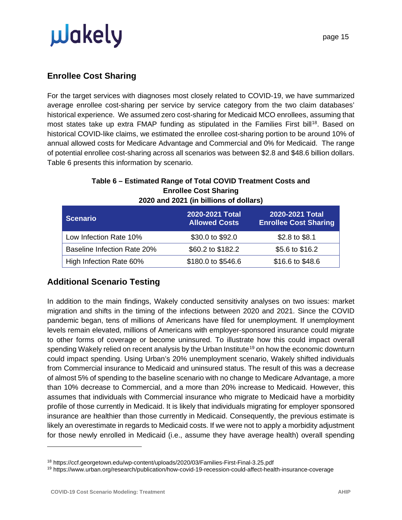#### <span id="page-14-0"></span>**Enrollee Cost Sharing**

For the target services with diagnoses most closely related to COVID-19, we have summarized average enrollee cost-sharing per service by service category from the two claim databases' historical experience. We assumed zero cost-sharing for Medicaid MCO enrollees, assuming that most states take up extra FMAP funding as stipulated in the Families First bill<sup>[18](#page-14-2)</sup>. Based on historical COVID-like claims, we estimated the enrollee cost-sharing portion to be around 10% of annual allowed costs for Medicare Advantage and Commercial and 0% for Medicaid. The range of potential enrollee cost-sharing across all scenarios was between \$2.8 and \$48.6 billion dollars. Table 6 presents this information by scenario.

#### **Table 6 – Estimated Range of Total COVID Treatment Costs and Enrollee Cost Sharing 2020 and 2021 (in billions of dollars)**

| <b>Scenario</b>                    | 2020-2021 Total<br><b>Allowed Costs</b> | 2020-2021 Total<br><b>Enrollee Cost Sharing</b> |
|------------------------------------|-----------------------------------------|-------------------------------------------------|
| Low Infection Rate 10%             | \$30.0 to \$92.0                        | \$2.8 to \$8.1                                  |
| <b>Baseline Infection Rate 20%</b> | \$60.2 to \$182.2                       | \$5.6 to \$16.2                                 |
| High Infection Rate 60%            | \$180.0 to \$546.6                      | \$16.6 to \$48.6                                |

### <span id="page-14-1"></span>**Additional Scenario Testing**

In addition to the main findings, Wakely conducted sensitivity analyses on two issues: market migration and shifts in the timing of the infections between 2020 and 2021. Since the COVID pandemic began, tens of millions of Americans have filed for unemployment. If unemployment levels remain elevated, millions of Americans with employer-sponsored insurance could migrate to other forms of coverage or become uninsured. To illustrate how this could impact overall spending Wakely relied on recent analysis by the Urban Institute<sup>[19](#page-14-3)</sup> on how the economic downturn could impact spending. Using Urban's 20% unemployment scenario, Wakely shifted individuals from Commercial insurance to Medicaid and uninsured status. The result of this was a decrease of almost 5% of spending to the baseline scenario with no change to Medicare Advantage, a more than 10% decrease to Commercial, and a more than 20% increase to Medicaid. However, this assumes that individuals with Commercial insurance who migrate to Medicaid have a morbidity profile of those currently in Medicaid. It is likely that individuals migrating for employer sponsored insurance are healthier than those currently in Medicaid. Consequently, the previous estimate is likely an overestimate in regards to Medicaid costs. If we were not to apply a morbidity adjustment for those newly enrolled in Medicaid (i.e., assume they have average health) overall spending

<span id="page-14-2"></span><sup>18</sup> https://ccf.georgetown.edu/wp-content/uploads/2020/03/Families-First-Final-3.25.pdf

<span id="page-14-3"></span><sup>19</sup> https://www.urban.org/research/publication/how-covid-19-recession-could-affect-health-insurance-coverage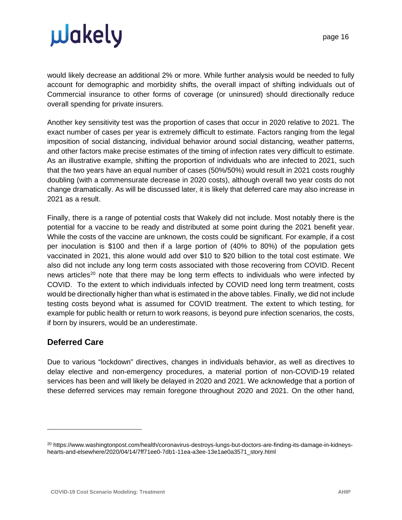would likely decrease an additional 2% or more. While further analysis would be needed to fully account for demographic and morbidity shifts, the overall impact of shifting individuals out of Commercial insurance to other forms of coverage (or uninsured) should directionally reduce overall spending for private insurers.

Another key sensitivity test was the proportion of cases that occur in 2020 relative to 2021. The exact number of cases per year is extremely difficult to estimate. Factors ranging from the legal imposition of social distancing, individual behavior around social distancing, weather patterns, and other factors make precise estimates of the timing of infection rates very difficult to estimate. As an illustrative example, shifting the proportion of individuals who are infected to 2021, such that the two years have an equal number of cases (50%/50%) would result in 2021 costs roughly doubling (with a commensurate decrease in 2020 costs), although overall two year costs do not change dramatically. As will be discussed later, it is likely that deferred care may also increase in 2021 as a result.

Finally, there is a range of potential costs that Wakely did not include. Most notably there is the potential for a vaccine to be ready and distributed at some point during the 2021 benefit year. While the costs of the vaccine are unknown, the costs could be significant. For example, if a cost per inoculation is \$100 and then if a large portion of (40% to 80%) of the population gets vaccinated in 2021, this alone would add over \$10 to \$20 billion to the total cost estimate. We also did not include any long term costs associated with those recovering from COVID. Recent news articles<sup>[20](#page-15-1)</sup> note that there may be long term effects to individuals who were infected by COVID. To the extent to which individuals infected by COVID need long term treatment, costs would be directionally higher than what is estimated in the above tables. Finally, we did not include testing costs beyond what is assumed for COVID treatment. The extent to which testing, for example for public health or return to work reasons, is beyond pure infection scenarios, the costs, if born by insurers, would be an underestimate.

#### <span id="page-15-0"></span>**Deferred Care**

Due to various "lockdown" directives, changes in individuals behavior, as well as directives to delay elective and non-emergency procedures, a material portion of non-COVID-19 related services has been and will likely be delayed in 2020 and 2021. We acknowledge that a portion of these deferred services may remain foregone throughout 2020 and 2021. On the other hand,

<span id="page-15-1"></span><sup>20</sup> https://www.washingtonpost.com/health/coronavirus-destroys-lungs-but-doctors-are-finding-its-damage-in-kidneyshearts-and-elsewhere/2020/04/14/7ff71ee0-7db1-11ea-a3ee-13e1ae0a3571\_story.html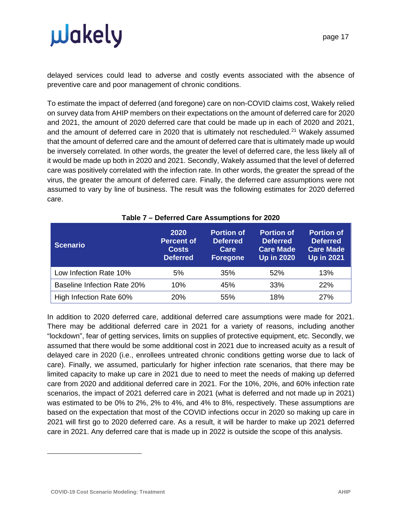delayed services could lead to adverse and costly events associated with the absence of preventive care and poor management of chronic conditions.

To estimate the impact of deferred (and foregone) care on non-COVID claims cost, Wakely relied on survey data from AHIP members on their expectations on the amount of deferred care for 2020 and 2021, the amount of 2020 deferred care that could be made up in each of 2020 and 2021, and the amount of deferred care in 2020 that is ultimately not rescheduled.<sup>[21](#page-16-0)</sup> Wakely assumed that the amount of deferred care and the amount of deferred care that is ultimately made up would be inversely correlated. In other words, the greater the level of deferred care, the less likely all of it would be made up both in 2020 and 2021. Secondly, Wakely assumed that the level of deferred care was positively correlated with the infection rate. In other words, the greater the spread of the virus, the greater the amount of deferred care. Finally, the deferred care assumptions were not assumed to vary by line of business. The result was the following estimates for 2020 deferred care.

| <b>Scenario</b>                    | 2020<br><b>Percent of</b><br><b>Costs</b><br><b>Deferred</b> | <b>Portion of</b><br><b>Deferred</b><br>Care<br><b>Foregone</b> | <b>Portion of</b><br><b>Deferred</b><br><b>Care Made</b><br><b>Up in 2020</b> | <b>Portion of</b><br><b>Deferred</b><br><b>Care Made</b><br><b>Up in 2021</b> |
|------------------------------------|--------------------------------------------------------------|-----------------------------------------------------------------|-------------------------------------------------------------------------------|-------------------------------------------------------------------------------|
| Low Infection Rate 10%             | 5%                                                           | 35%                                                             | 52%                                                                           | 13%                                                                           |
| <b>Baseline Infection Rate 20%</b> | 10%                                                          | 45%                                                             | 33%                                                                           | 22%                                                                           |
| High Infection Rate 60%            | <b>20%</b>                                                   | 55%                                                             | 18%                                                                           | 27%                                                                           |

#### **Table 7 – Deferred Care Assumptions for 2020**

<span id="page-16-0"></span>In addition to 2020 deferred care, additional deferred care assumptions were made for 2021. There may be additional deferred care in 2021 for a variety of reasons, including another "lockdown", fear of getting services, limits on supplies of protective equipment, etc. Secondly, we assumed that there would be some additional cost in 2021 due to increased acuity as a result of delayed care in 2020 (i.e., enrollees untreated chronic conditions getting worse due to lack of care). Finally, we assumed, particularly for higher infection rate scenarios, that there may be limited capacity to make up care in 2021 due to need to meet the needs of making up deferred care from 2020 and additional deferred care in 2021. For the 10%, 20%, and 60% infection rate scenarios, the impact of 2021 deferred care in 2021 (what is deferred and not made up in 2021) was estimated to be 0% to 2%, 2% to 4%, and 4% to 8%, respectively. These assumptions are based on the expectation that most of the COVID infections occur in 2020 so making up care in 2021 will first go to 2020 deferred care. As a result, it will be harder to make up 2021 deferred care in 2021. Any deferred care that is made up in 2022 is outside the scope of this analysis.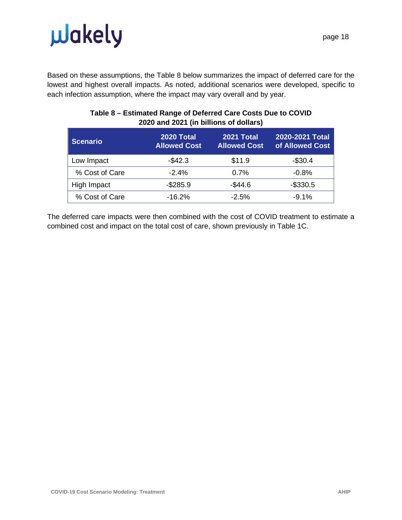

Based on these assumptions, the Table 8 below summarizes the impact of deferred care for the lowest and highest overall impacts. As noted, additional scenarios were developed, specific to each infection assumption, where the impact may vary overall and by year.

| <b>Scenario</b> | 2020 Total<br><b>Allowed Cost</b> | 2021 Total<br><b>Allowed Cost</b> | 2020-2021 Total<br>of Allowed Cost |  |  |  |
|-----------------|-----------------------------------|-----------------------------------|------------------------------------|--|--|--|
| Low Impact      | $-$42.3$                          | \$11.9                            | $-$30.4$                           |  |  |  |
| % Cost of Care  | $-2.4%$                           | 0.7%                              | $-0.8%$                            |  |  |  |
| High Impact     | $-$285.9$                         | $-$44.6$                          | $-$330.5$                          |  |  |  |
| % Cost of Care  | $-16.2%$                          | $-2.5%$                           | $-9.1%$                            |  |  |  |

#### **Table 8 – Estimated Range of Deferred Care Costs Due to COVID 2020 and 2021 (in billions of dollars)**

The deferred care impacts were then combined with the cost of COVID treatment to estimate a combined cost and impact on the total cost of care, shown previously in Table 1C.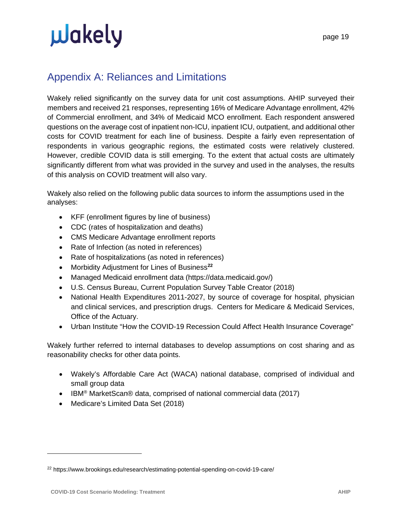### <span id="page-18-0"></span>Appendix A: Reliances and Limitations

Wakely relied significantly on the survey data for unit cost assumptions. AHIP surveyed their members and received 21 responses, representing 16% of Medicare Advantage enrollment, 42% of Commercial enrollment, and 34% of Medicaid MCO enrollment. Each respondent answered questions on the average cost of inpatient non-ICU, inpatient ICU, outpatient, and additional other costs for COVID treatment for each line of business. Despite a fairly even representation of respondents in various geographic regions, the estimated costs were relatively clustered. However, credible COVID data is still emerging. To the extent that actual costs are ultimately significantly different from what was provided in the survey and used in the analyses, the results of this analysis on COVID treatment will also vary.

Wakely also relied on the following public data sources to inform the assumptions used in the analyses:

- KFF (enrollment figures by line of business)
- CDC (rates of hospitalization and deaths)
- CMS Medicare Advantage enrollment reports
- Rate of Infection (as noted in references)
- Rate of hospitalizations (as noted in references)
- Morbidity Adjustment for Lines of Business**[22](#page-18-1)**
- Managed Medicaid enrollment data (https://data.medicaid.gov/)
- U.S. Census Bureau, Current Population Survey Table Creator (2018)
- National Health Expenditures 2011-2027, by source of coverage for hospital, physician and clinical services, and prescription drugs. Centers for Medicare & Medicaid Services, Office of the Actuary.
- Urban Institute "How the COVID-19 Recession Could Affect Health Insurance Coverage"

Wakely further referred to internal databases to develop assumptions on cost sharing and as reasonability checks for other data points.

- Wakely's Affordable Care Act (WACA) national database, comprised of individual and small group data
- IBM<sup>®</sup> MarketScan® data, comprised of national commercial data (2017)
- Medicare's Limited Data Set (2018)

<span id="page-18-1"></span><sup>22</sup> https://www.brookings.edu/research/estimating-potential-spending-on-covid-19-care/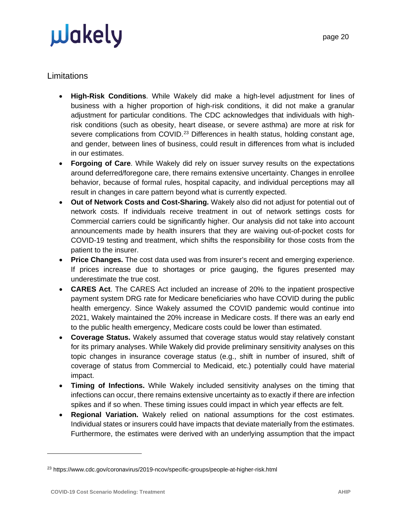#### **Limitations**

- **High-Risk Conditions**. While Wakely did make a high-level adjustment for lines of business with a higher proportion of high-risk conditions, it did not make a granular adjustment for particular conditions. The CDC acknowledges that individuals with highrisk conditions (such as obesity, heart disease, or severe asthma) are more at risk for severe complications from COVID.<sup>[23](#page-19-0)</sup> Differences in health status, holding constant age, and gender, between lines of business, could result in differences from what is included in our estimates.
- **Forgoing of Care**. While Wakely did rely on issuer survey results on the expectations around deferred/foregone care, there remains extensive uncertainty. Changes in enrollee behavior, because of formal rules, hospital capacity, and individual perceptions may all result in changes in care pattern beyond what is currently expected.
- **Out of Network Costs and Cost-Sharing.** Wakely also did not adjust for potential out of network costs. If individuals receive treatment in out of network settings costs for Commercial carriers could be significantly higher. Our analysis did not take into account announcements made by health insurers that they are waiving out-of-pocket costs for COVID-19 testing and treatment, which shifts the responsibility for those costs from the patient to the insurer.
- **Price Changes.** The cost data used was from insurer's recent and emerging experience. If prices increase due to shortages or price gauging, the figures presented may underestimate the true cost.
- **CARES Act**. The CARES Act included an increase of 20% to the inpatient prospective payment system DRG rate for Medicare beneficiaries who have COVID during the public health emergency. Since Wakely assumed the COVID pandemic would continue into 2021, Wakely maintained the 20% increase in Medicare costs. If there was an early end to the public health emergency, Medicare costs could be lower than estimated.
- **Coverage Status.** Wakely assumed that coverage status would stay relatively constant for its primary analyses. While Wakely did provide preliminary sensitivity analyses on this topic changes in insurance coverage status (e.g., shift in number of insured, shift of coverage of status from Commercial to Medicaid, etc.) potentially could have material impact.
- **Timing of Infections.** While Wakely included sensitivity analyses on the timing that infections can occur, there remains extensive uncertainty as to exactly if there are infection spikes and if so when. These timing issues could impact in which year effects are felt.
- **Regional Variation.** Wakely relied on national assumptions for the cost estimates. Individual states or insurers could have impacts that deviate materially from the estimates. Furthermore, the estimates were derived with an underlying assumption that the impact

<span id="page-19-0"></span><sup>23</sup> https://www.cdc.gov/coronavirus/2019-ncov/specific-groups/people-at-higher-risk.html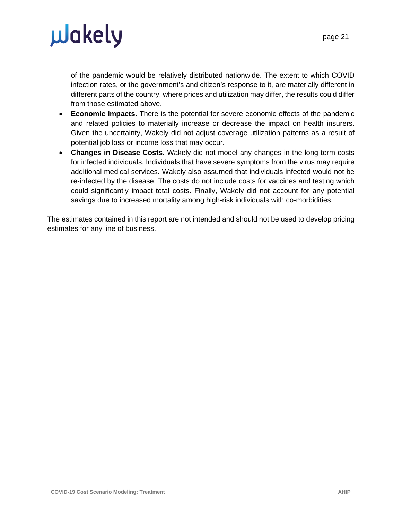of the pandemic would be relatively distributed nationwide. The extent to which COVID infection rates, or the government's and citizen's response to it, are materially different in different parts of the country, where prices and utilization may differ, the results could differ from those estimated above.

- **Economic Impacts.** There is the potential for severe economic effects of the pandemic and related policies to materially increase or decrease the impact on health insurers. Given the uncertainty, Wakely did not adjust coverage utilization patterns as a result of potential job loss or income loss that may occur.
- **Changes in Disease Costs.** Wakely did not model any changes in the long term costs for infected individuals. Individuals that have severe symptoms from the virus may require additional medical services. Wakely also assumed that individuals infected would not be re-infected by the disease. The costs do not include costs for vaccines and testing which could significantly impact total costs. Finally, Wakely did not account for any potential savings due to increased mortality among high-risk individuals with co-morbidities.

The estimates contained in this report are not intended and should not be used to develop pricing estimates for any line of business.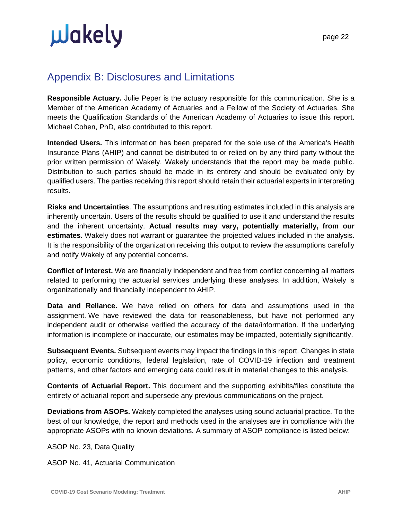### <span id="page-21-0"></span>Appendix B: Disclosures and Limitations

**Responsible Actuary.** Julie Peper is the actuary responsible for this communication. She is a Member of the American Academy of Actuaries and a Fellow of the Society of Actuaries. She meets the Qualification Standards of the American Academy of Actuaries to issue this report. Michael Cohen, PhD, also contributed to this report.

**Intended Users.** This information has been prepared for the sole use of the America's Health Insurance Plans (AHIP) and cannot be distributed to or relied on by any third party without the prior written permission of Wakely. Wakely understands that the report may be made public. Distribution to such parties should be made in its entirety and should be evaluated only by qualified users. The parties receiving this report should retain their actuarial experts in interpreting results.

**Risks and Uncertainties**. The assumptions and resulting estimates included in this analysis are inherently uncertain. Users of the results should be qualified to use it and understand the results and the inherent uncertainty. **Actual results may vary, potentially materially, from our estimates.** Wakely does not warrant or guarantee the projected values included in the analysis. It is the responsibility of the organization receiving this output to review the assumptions carefully and notify Wakely of any potential concerns.

**Conflict of Interest.** We are financially independent and free from conflict concerning all matters related to performing the actuarial services underlying these analyses. In addition, Wakely is organizationally and financially independent to AHIP.

**Data and Reliance.** We have relied on others for data and assumptions used in the assignment. We have reviewed the data for reasonableness, but have not performed any independent audit or otherwise verified the accuracy of the data/information. If the underlying information is incomplete or inaccurate, our estimates may be impacted, potentially significantly.

**Subsequent Events.** Subsequent events may impact the findings in this report. Changes in state policy, economic conditions, federal legislation, rate of COVID-19 infection and treatment patterns, and other factors and emerging data could result in material changes to this analysis.

**Contents of Actuarial Report.** This document and the supporting exhibits/files constitute the entirety of actuarial report and supersede any previous communications on the project.

**Deviations from ASOPs.** Wakely completed the analyses using sound actuarial practice. To the best of our knowledge, the report and methods used in the analyses are in compliance with the appropriate ASOPs with no known deviations. A summary of ASOP compliance is listed below:

ASOP No. 23, Data Quality

ASOP No. 41, Actuarial Communication